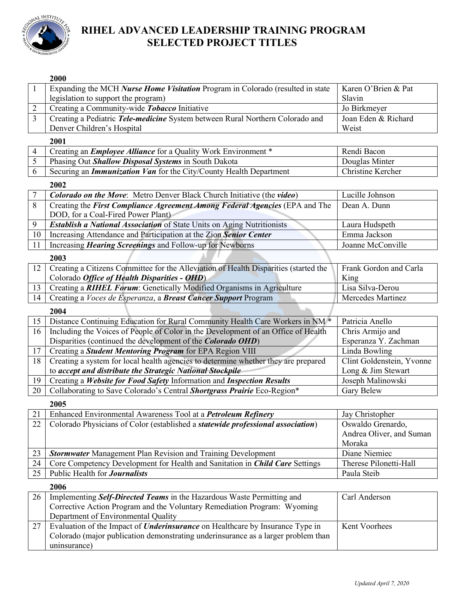

# **RIHEL ADVANCED LEADERSHIP TRAINING PROGRAM SELECTED PROJECT TITLES**

|                | 2000                                                                                 |                           |
|----------------|--------------------------------------------------------------------------------------|---------------------------|
| 1              | Expanding the MCH Nurse Home Visitation Program in Colorado (resulted in state       | Karen O'Brien & Pat       |
|                | legislation to support the program)                                                  | Slavin                    |
| 2              | Creating a Community-wide Tobacco Initiative                                         | Jo Birkmeyer              |
| $\overline{3}$ | Creating a Pediatric Tele-medicine System between Rural Northern Colorado and        | Joan Eden & Richard       |
|                | Denver Children's Hospital                                                           | Weist                     |
|                | 2001                                                                                 |                           |
| 4              | Creating an <i>Employee Alliance</i> for a Quality Work Environment *                | Rendi Bacon               |
| $\mathfrak{S}$ |                                                                                      | Douglas Minter            |
|                | Phasing Out Shallow Disposal Systems in South Dakota                                 |                           |
| 6              | Securing an <i>Immunization Van</i> for the City/County Health Department            | Christine Kercher         |
|                | 2002                                                                                 |                           |
| 7              | <b>Colorado on the Move:</b> Metro Denver Black Church Initiative (the video)        | Lucille Johnson           |
| 8              | Creating the First Compliance Agreement Among Federal Agencies (EPA and The          | Dean A. Dunn              |
|                | DOD, for a Coal-Fired Power Plant)                                                   |                           |
| 9              | Establish a National Association of State Units on Aging Nutritionists               | Laura Hudspeth            |
| 10             | Increasing Attendance and Participation at the Zion Senior Center                    | Emma Jackson              |
| 11             | Increasing <i>Hearing Screenings</i> and Follow-up for Newborns                      | Joanne McConville         |
|                | 2003                                                                                 |                           |
| 12             | Creating a Citizens Committee for the Alleviation of Health Disparities (started the | Frank Gordon and Carla    |
|                | Colorado Office of Health Disparities - OHD)                                         | King                      |
| 13             | Creating a RIHEL Forum: Genetically Modified Organisms in Agriculture                | Lisa Silva-Derou          |
| 14             | Creating a <i>Voces de Esperanza</i> , a <i>Breast Cancer Support</i> Program        | Mercedes Martinez         |
|                | 2004                                                                                 |                           |
| 15             | Distance Continuing Education for Rural Community Health Care Workers in NM *        | Patricia Anello           |
|                |                                                                                      |                           |
| 16             | Including the Voices of People of Color in the Development of an Office of Health    | Chris Armijo and          |
|                | Disparities (continued the development of the Colorado OHD)                          | Esperanza Y. Zachman      |
| 17             | Creating a Student Mentoring Program for EPA Region VIII                             | Linda Bowling             |
| 18             | Creating a system for local health agencies to determine whether they are prepared   | Clint Goldenstein, Yvonne |
|                | to accept and distribute the Strategic National Stockpile                            | Long & Jim Stewart        |
| 19             | Creating a Website for Food Safety Information and Inspection Results                | Joseph Malinowski         |
| 20             | Collaborating to Save Colorado's Central Shortgrass Prairie Eco-Region*              | Gary Belew                |
|                | 2005                                                                                 |                           |
| 21             | Enhanced Environmental Awareness Tool at a <i>Petroleum Refinery</i>                 | Jay Christopher           |
| 22             | Colorado Physicians of Color (established a statewide professional association)      | Oswaldo Grenardo,         |
|                |                                                                                      | Andrea Oliver, and Suman  |
|                |                                                                                      | Moraka                    |
| 23             | <b>Stormwater</b> Management Plan Revision and Training Development                  | Diane Niemiec             |
| 24             | Core Competency Development for Health and Sanitation in Child Care Settings         | Therese Pilonetti-Hall    |
| 25             | Public Health for Journalists                                                        | Paula Steib               |
|                | 2006                                                                                 |                           |
| 26             | Implementing Self-Directed Teams in the Hazardous Waste Permitting and               | Carl Anderson             |
|                | Corrective Action Program and the Voluntary Remediation Program: Wyoming             |                           |
|                | Department of Environmental Quality                                                  |                           |
| 27             | Evaluation of the Impact of <i>Underinsurance</i> on Healthcare by Insurance Type in | Kent Voorhees             |
|                | Colorado (major publication demonstrating underinsurance as a larger problem than    |                           |
|                | uninsurance)                                                                         |                           |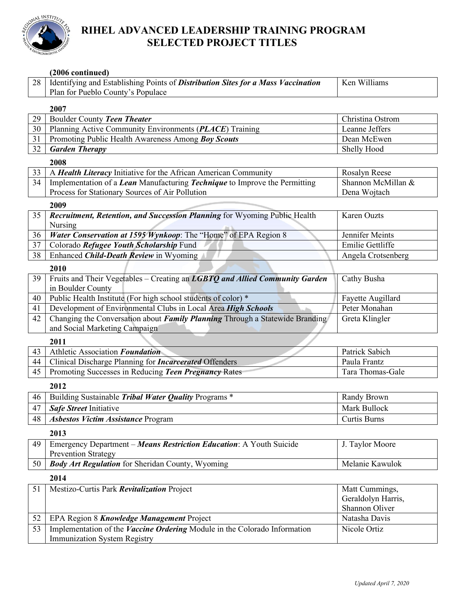

### **RIHEL ADVANCED LEADERSHIP TRAINING PROGRAM SELECTED PROJECT TITLES**

### **(2006 continued)**

Immunization System Registry

| 28   Identifying and Establishing Points of <i>Distribution Sites for a Mass Vaccination</i> | Ken Williams |
|----------------------------------------------------------------------------------------------|--------------|
| Plan for Pueblo County's Populace                                                            |              |
|                                                                                              |              |

#### 

| 29 | Boulder County Teen Theater                                                                                   | Christina Ostrom    |
|----|---------------------------------------------------------------------------------------------------------------|---------------------|
| 30 | Planning Active Community Environments (PLACE) Training                                                       | Leanne Jeffers      |
| 31 | Promoting Public Health Awareness Among Boy Scouts                                                            | Dean McEwen         |
| 32 | <b>Garden Therapy</b>                                                                                         | Shelly Hood         |
|    | 2008                                                                                                          |                     |
| 33 | A Health Literacy Initiative for the African American Community                                               | Rosalyn Reese       |
| 34 | Implementation of a Lean Manufacturing Technique to Improve the Permitting                                    | Shannon McMillan &  |
|    | Process for Stationary Sources of Air Pollution                                                               | Dena Wojtach        |
|    | 2009                                                                                                          |                     |
| 35 | Recruitment, Retention, and Succession Planning for Wyoming Public Health                                     | Karen Ouzts         |
|    | Nursing                                                                                                       |                     |
| 36 | Water Conservation at 1595 Wynkoop: The "Home" of EPA Region 8                                                | Jennifer Meints     |
| 37 | Colorado Refugee Youth Scholarship Fund                                                                       | Emilie Gettliffe    |
| 38 | Enhanced Child-Death Review in Wyoming                                                                        | Angela Crotsenberg  |
|    | 2010                                                                                                          |                     |
| 39 | Fruits and Their Vegetables - Creating an LGBTQ and Allied Community Garden                                   | Cathy Busha         |
|    | in Boulder County                                                                                             |                     |
| 40 | Public Health Institute (For high school students of color) *                                                 | Fayette Augillard   |
| 41 | Development of Environmental Clubs in Local Area High Schools                                                 | Peter Monahan       |
| 42 | Changing the Conversation about Family Planning Through a Statewide Branding<br>and Social Marketing Campaign | Greta Klingler      |
|    |                                                                                                               |                     |
| 43 | 2011<br>Athletic Association Foundation                                                                       | Patrick Sabich      |
| 44 | Clinical Discharge Planning for <i>Incarcerated</i> Offenders                                                 | Paula Frantz        |
| 45 | Promoting Successes in Reducing Teen Pregnancy Rates                                                          | Tara Thomas-Gale    |
|    |                                                                                                               |                     |
|    | 2012                                                                                                          |                     |
| 46 | Building Sustainable Tribal Water Quality Programs *                                                          | Randy Brown         |
| 47 | Safe Street Initiative                                                                                        | Mark Bullock        |
| 48 | <b>Asbestos Victim Assistance Program</b>                                                                     | <b>Curtis Burns</b> |
|    | 2013                                                                                                          |                     |
| 49 | Emergency Department - Means Restriction Education: A Youth Suicide                                           | J. Taylor Moore     |
|    | <b>Prevention Strategy</b>                                                                                    |                     |
| 50 | <b>Body Art Regulation</b> for Sheridan County, Wyoming                                                       | Melanie Kawulok     |
|    | 2014                                                                                                          |                     |
| 51 | Mestizo-Curtis Park Revitalization Project                                                                    | Matt Cummings,      |
|    |                                                                                                               | Geraldolyn Harris,  |
|    |                                                                                                               | Shannon Oliver      |
| 52 |                                                                                                               |                     |
|    | EPA Region 8 Knowledge Management Project                                                                     | Natasha Davis       |